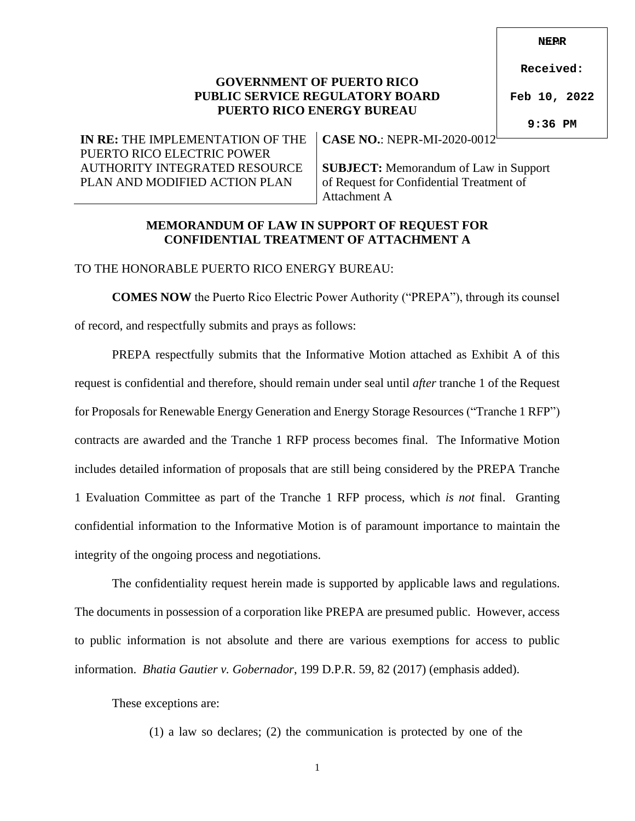0124 **NEPR**

### **GOVERNMENT OF PUERTO RICO PUBLIC SERVICE REGULATORY BOARD PUERTO RICO ENERGY BUREAU**

**Received:**

**Feb 10, 2022**

**9:36 PM**

**IN RE:** THE IMPLEMENTATION OF THE PUERTO RICO ELECTRIC POWER AUTHORITY INTEGRATED RESOURCE PLAN AND MODIFIED ACTION PLAN

**CASE NO.**: NEPR-MI-2020-0012

**SUBJECT:** Memorandum of Law in Support of Request for Confidential Treatment of Attachment A

#### **MEMORANDUM OF LAW IN SUPPORT OF REQUEST FOR CONFIDENTIAL TREATMENT OF ATTACHMENT A**

### TO THE HONORABLE PUERTO RICO ENERGY BUREAU:

**COMES NOW** the Puerto Rico Electric Power Authority ("PREPA"), through its counsel of record, and respectfully submits and prays as follows:

PREPA respectfully submits that the Informative Motion attached as Exhibit A of this request is confidential and therefore, should remain under seal until *after* tranche 1 of the Request for Proposals for Renewable Energy Generation and Energy Storage Resources ("Tranche 1 RFP") contracts are awarded and the Tranche 1 RFP process becomes final. The Informative Motion includes detailed information of proposals that are still being considered by the PREPA Tranche 1 Evaluation Committee as part of the Tranche 1 RFP process, which *is not* final. Granting confidential information to the Informative Motion is of paramount importance to maintain the integrity of the ongoing process and negotiations.

The confidentiality request herein made is supported by applicable laws and regulations. The documents in possession of a corporation like PREPA are presumed public. However, access to public information is not absolute and there are various exemptions for access to public information. *Bhatia Gautier v. Gobernador*, 199 D.P.R. 59, 82 (2017) (emphasis added).

These exceptions are:

(1) a law so declares; (2) the communication is protected by one of the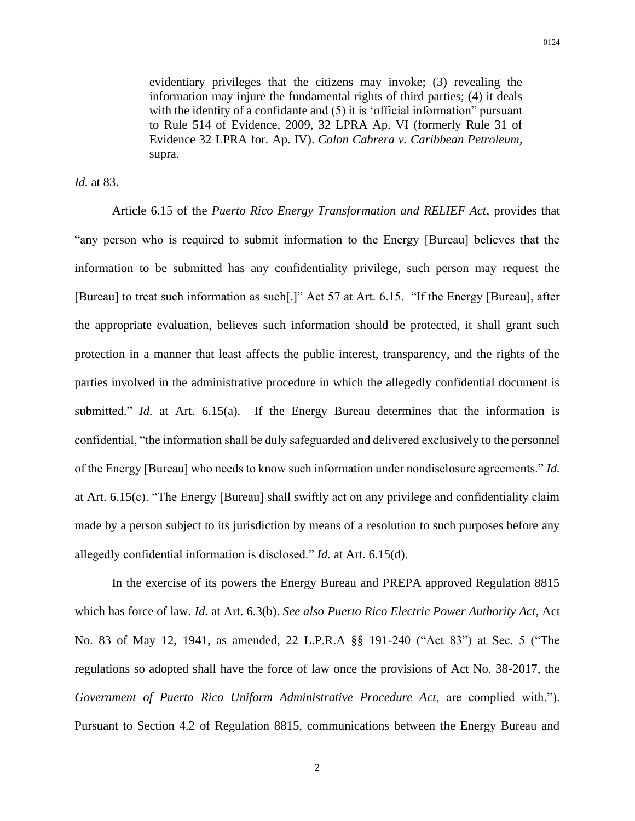evidentiary privileges that the citizens may invoke; (3) revealing the information may injure the fundamental rights of third parties; (4) it deals with the identity of a confidante and  $(5)$  it is 'official information'' pursuant to Rule 514 of Evidence, 2009, 32 LPRA Ap. VI (formerly Rule 31 of Evidence 32 LPRA for. Ap. IV). *Colon Cabrera v. Caribbean Petroleum,*  supra.

*Id.* at 83.

Article 6.15 of the *Puerto Rico Energy Transformation and RELIEF Act*, provides that "any person who is required to submit information to the Energy [Bureau] believes that the information to be submitted has any confidentiality privilege, such person may request the [Bureau] to treat such information as such[.]" Act 57 at Art. 6.15. "If the Energy [Bureau], after the appropriate evaluation, believes such information should be protected, it shall grant such protection in a manner that least affects the public interest, transparency, and the rights of the parties involved in the administrative procedure in which the allegedly confidential document is submitted." *Id.* at Art. 6.15(a). If the Energy Bureau determines that the information is confidential, "the information shall be duly safeguarded and delivered exclusively to the personnel of the Energy [Bureau] who needs to know such information under nondisclosure agreements." *Id.* at Art. 6.15(c). "The Energy [Bureau] shall swiftly act on any privilege and confidentiality claim made by a person subject to its jurisdiction by means of a resolution to such purposes before any allegedly confidential information is disclosed." *Id.* at Art. 6.15(d).

In the exercise of its powers the Energy Bureau and PREPA approved Regulation 8815 which has force of law. *Id.* at Art. 6.3(b). *See also Puerto Rico Electric Power Authority Act*, Act No. 83 of May 12, 1941, as amended, 22 L.P.R.A §§ 191-240 ("Act 83") at Sec. 5 ("The regulations so adopted shall have the force of law once the provisions of Act No. 38-2017, the *Government of Puerto Rico Uniform Administrative Procedure Act*, are complied with."). Pursuant to Section 4.2 of Regulation 8815, communications between the Energy Bureau and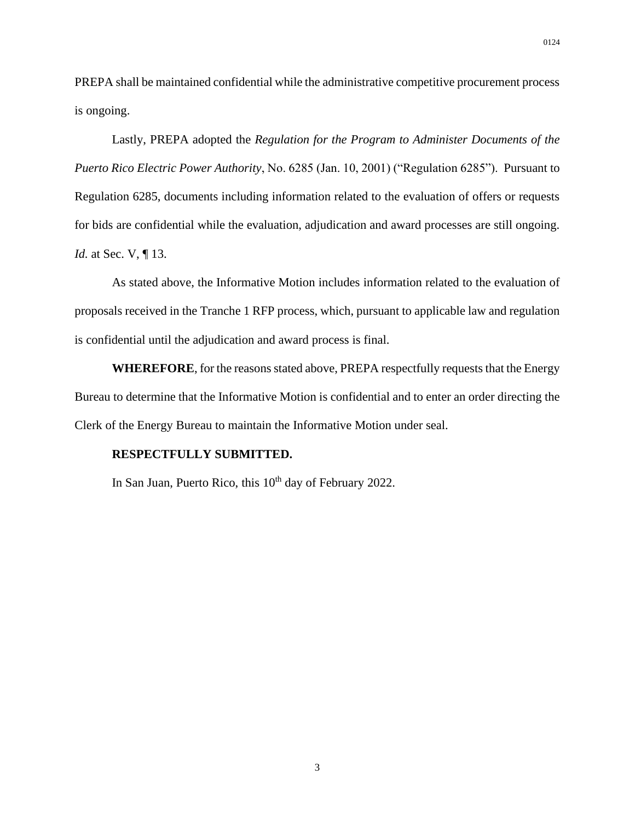PREPA shall be maintained confidential while the administrative competitive procurement process is ongoing.

Lastly, PREPA adopted the *Regulation for the Program to Administer Documents of the Puerto Rico Electric Power Authority*, No. 6285 (Jan. 10, 2001) ("Regulation 6285"). Pursuant to Regulation 6285, documents including information related to the evaluation of offers or requests for bids are confidential while the evaluation, adjudication and award processes are still ongoing. *Id.* at Sec. V, ¶ 13.

As stated above, the Informative Motion includes information related to the evaluation of proposals received in the Tranche 1 RFP process, which, pursuant to applicable law and regulation is confidential until the adjudication and award process is final.

**WHEREFORE**, for the reasons stated above, PREPA respectfully requests that the Energy Bureau to determine that the Informative Motion is confidential and to enter an order directing the Clerk of the Energy Bureau to maintain the Informative Motion under seal.

#### **RESPECTFULLY SUBMITTED.**

In San Juan, Puerto Rico, this 10<sup>th</sup> day of February 2022.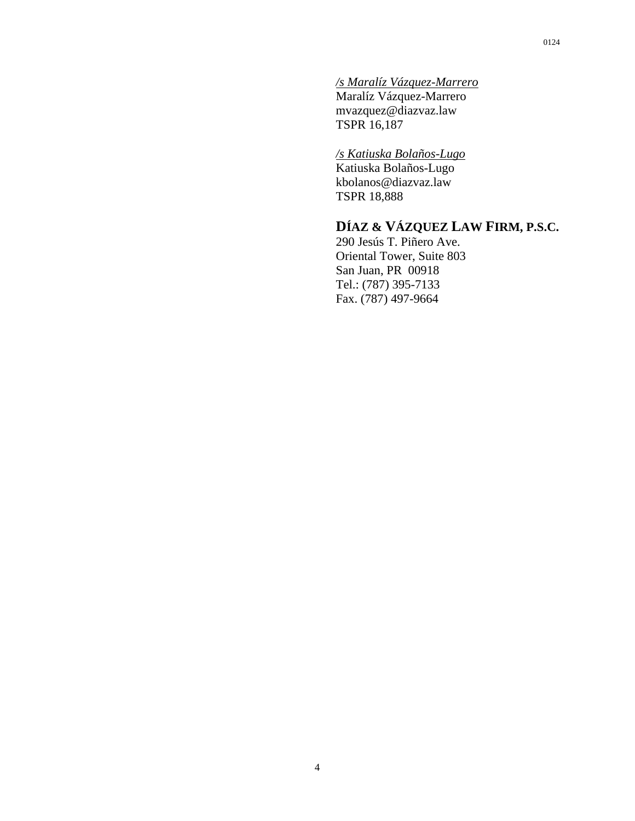### */s Maralíz Vázquez-Marrero*

Maralíz Vázquez-Marrero mvazquez@diazvaz.law TSPR 16,187

### */s Katiuska Bolaños-Lugo*

Katiuska Bolaños-Lugo kbolanos@diazvaz.law TSPR 18,888

## **DÍAZ & VÁZQUEZ LAW FIRM, P.S.C.**

290 Jesús T. Piñero Ave. Oriental Tower, Suite 803 San Juan, PR 00918 Tel.: (787) 395-7133 Fax. (787) 497-9664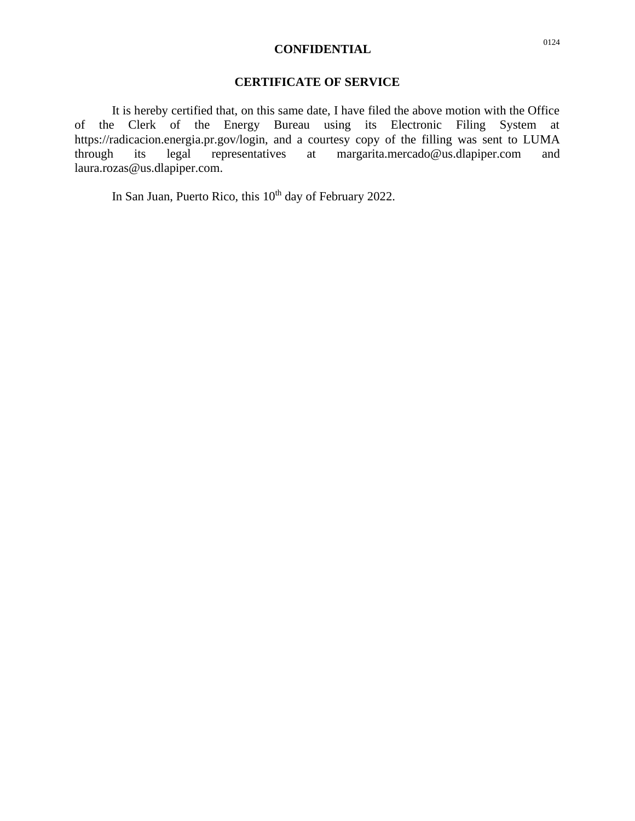## **CONFIDENTIAL** <sup>0124</sup>

## **CERTIFICATE OF SERVICE**

It is hereby certified that, on this same date, I have filed the above motion with the Office of the Clerk of the Energy Bureau using its Electronic Filing System at https://radicacion.energia.pr.gov/login, and a courtesy copy of the filling was sent to LUMA<br>through its legal representatives at margarita.mercado@us.dlapiper.com and through its legal representatives at margarita.mercado@us.dlapiper.com and laura.rozas@us.dlapiper.com.

In San Juan, Puerto Rico, this 10<sup>th</sup> day of February 2022.